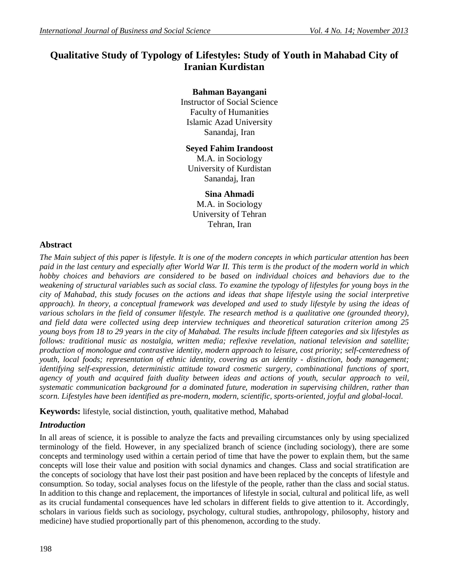# **Qualitative Study of Typology of Lifestyles: Study of Youth in Mahabad City of Iranian Kurdistan**

# **Bahman Bayangani**

Instructor of Social Science Faculty of Humanities Islamic Azad University Sanandaj, Iran

# **Seyed Fahim Irandoost**

M.A. in Sociology University of Kurdistan Sanandaj, Iran

**Sina Ahmadi** M.A. in Sociology University of Tehran Tehran, Iran

# **Abstract**

*The Main subject of this paper is lifestyle. It is one of the modern concepts in which particular attention has been paid in the last century and especially after World War II. This term is the product of the modern world in which hobby choices and behaviors are considered to be based on individual choices and behaviors due to the weakening of structural variables such as social class. To examine the typology of lifestyles for young boys in the city of Mahabad, this study focuses on the actions and ideas that shape lifestyle using the social interpretive approach). In theory, a conceptual framework was developed and used to study lifestyle by using the ideas of various scholars in the field of consumer lifestyle. The research method is a qualitative one (grounded theory), and field data were collected using deep interview techniques and theoretical saturation criterion among 25 young boys from 18 to 29 years in the city of Mahabad. The results include fifteen categories and six lifestyles as follows: traditional music as nostalgia, written media; reflexive revelation, national television and satellite; production of monologue and contrastive identity, modern approach to leisure, cost priority; self-centeredness of youth, local foods; representation of ethnic identity, covering as an identity - distinction, body management; identifying self-expression, deterministic attitude toward cosmetic surgery, combinational functions of sport, agency of youth and acquired faith duality between ideas and actions of youth, secular approach to veil, systematic communication background for a dominated future, moderation in supervising children, rather than scorn. Lifestyles have been identified as pre-modern, modern, scientific, sports-oriented, joyful and global-local.*

**Keywords:** lifestyle, social distinction, youth, qualitative method, Mahabad

# *Introduction*

In all areas of science, it is possible to analyze the facts and prevailing circumstances only by using specialized terminology of the field. However, in any specialized branch of science (including sociology), there are some concepts and terminology used within a certain period of time that have the power to explain them, but the same concepts will lose their value and position with social dynamics and changes. Class and social stratification are the concepts of sociology that have lost their past position and have been replaced by the concepts of lifestyle and consumption. So today, social analyses focus on the lifestyle of the people, rather than the class and social status. In addition to this change and replacement, the importances of lifestyle in social, cultural and political life, as well as its crucial fundamental consequences have led scholars in different fields to give attention to it. Accordingly, scholars in various fields such as sociology, psychology, cultural studies, anthropology, philosophy, history and medicine) have studied proportionally part of this phenomenon, according to the study.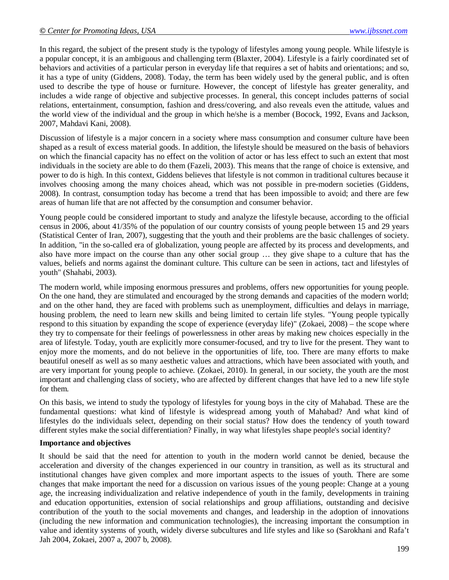In this regard, the subject of the present study is the typology of lifestyles among young people. While lifestyle is a popular concept, it is an ambiguous and challenging term (Blaxter, 2004). Lifestyle is a fairly coordinated set of behaviors and activities of a particular person in everyday life that requires a set of habits and orientations; and so, it has a type of unity (Giddens, 2008). Today, the term has been widely used by the general public, and is often used to describe the type of house or furniture. However, the concept of lifestyle has greater generality, and includes a wide range of objective and subjective processes. In general, this concept includes patterns of social relations, entertainment, consumption, fashion and dress/covering, and also reveals even the attitude, values and the world view of the individual and the group in which he/she is a member (Bocock, 1992, Evans and Jackson, 2007, Mahdavi Kani, 2008).

Discussion of lifestyle is a major concern in a society where mass consumption and consumer culture have been shaped as a result of excess material goods. In addition, the lifestyle should be measured on the basis of behaviors on which the financial capacity has no effect on the volition of actor or has less effect to such an extent that most individuals in the society are able to do them (Fazeli, 2003). This means that the range of choice is extensive, and power to do is high. In this context, Giddens believes that lifestyle is not common in traditional cultures because it involves choosing among the many choices ahead, which was not possible in pre-modern societies (Giddens, 2008). In contrast, consumption today has become a trend that has been impossible to avoid; and there are few areas of human life that are not affected by the consumption and consumer behavior.

Young people could be considered important to study and analyze the lifestyle because, according to the official census in 2006, about 41/35% of the population of our country consists of young people between 15 and 29 years (Statistical Center of Iran, 2007), suggesting that the youth and their problems are the basic challenges of society. In addition, "in the so-called era of globalization, young people are affected by its process and developments, and also have more impact on the course than any other social group … they give shape to a culture that has the values, beliefs and norms against the dominant culture. This culture can be seen in actions, tact and lifestyles of youth" (Shahabi, 2003).

The modern world, while imposing enormous pressures and problems, offers new opportunities for young people. On the one hand, they are stimulated and encouraged by the strong demands and capacities of the modern world; and on the other hand, they are faced with problems such as unemployment, difficulties and delays in marriage, housing problem, the need to learn new skills and being limited to certain life styles. "Young people typically respond to this situation by expanding the scope of experience (everyday life)" (Zokaei, 2008) – the scope where they try to compensate for their feelings of powerlessness in other areas by making new choices especially in the area of lifestyle. Today, youth are explicitly more consumer-focused, and try to live for the present. They want to enjoy more the moments, and do not believe in the opportunities of life, too. There are many efforts to make beautiful oneself as well as so many aesthetic values and attractions, which have been associated with youth, and are very important for young people to achieve. (Zokaei, 2010). In general, in our society, the youth are the most important and challenging class of society, who are affected by different changes that have led to a new life style for them.

On this basis, we intend to study the typology of lifestyles for young boys in the city of Mahabad. These are the fundamental questions: what kind of lifestyle is widespread among youth of Mahabad? And what kind of lifestyles do the individuals select, depending on their social status? How does the tendency of youth toward different styles make the social differentiation? Finally, in way what lifestyles shape people's social identity?

#### **Importance and objectives**

It should be said that the need for attention to youth in the modern world cannot be denied, because the acceleration and diversity of the changes experienced in our country in transition, as well as its structural and institutional changes have given complex and more important aspects to the issues of youth. There are some changes that make important the need for a discussion on various issues of the young people: Change at a young age, the increasing individualization and relative independence of youth in the family, developments in training and education opportunities, extension of social relationships and group affiliations, outstanding and decisive contribution of the youth to the social movements and changes, and leadership in the adoption of innovations (including the new information and communication technologies), the increasing important the consumption in value and identity systems of youth, widely diverse subcultures and life styles and like so (Sarokhani and Rafa't Jah 2004, Zokaei, 2007 a, 2007 b, 2008).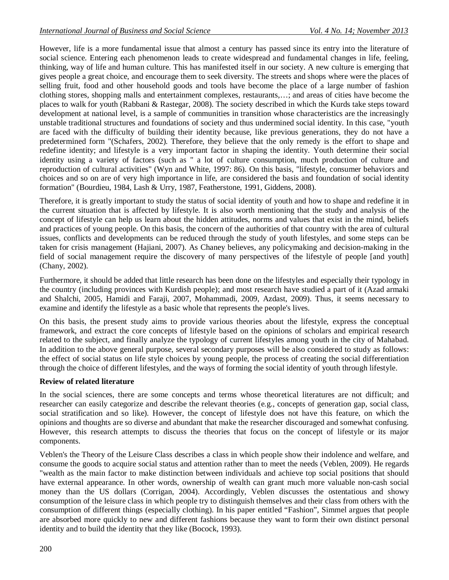However, life is a more fundamental issue that almost a century has passed since its entry into the literature of social science. Entering each phenomenon leads to create widespread and fundamental changes in life, feeling, thinking, way of life and human culture. This has manifested itself in our society. A new culture is emerging that gives people a great choice, and encourage them to seek diversity. The streets and shops where were the places of selling fruit, food and other household goods and tools have become the place of a large number of fashion clothing stores, shopping malls and entertainment complexes, restaurants,…; and areas of cities have become the places to walk for youth (Rabbani & Rastegar, 2008). The society described in which the Kurds take steps toward development at national level, is a sample of communities in transition whose characteristics are the increasingly unstable traditional structures and foundations of society and thus undermined social identity. In this case, "youth are faced with the difficulty of building their identity because, like previous generations, they do not have a predetermined form "(Schafers, 2002). Therefore, they believe that the only remedy is the effort to shape and redefine identity; and lifestyle is a very important factor in shaping the identity. Youth determine their social identity using a variety of factors (such as " a lot of culture consumption, much production of culture and reproduction of cultural activities" (Wyn and White, 1997: 86). On this basis, "lifestyle, consumer behaviors and choices and so on are of very high importance in life, are considered the basis and foundation of social identity formation" (Bourdieu, 1984, Lash & Urry, 1987, Featherstone, 1991, Giddens, 2008).

Therefore, it is greatly important to study the status of social identity of youth and how to shape and redefine it in the current situation that is affected by lifestyle. It is also worth mentioning that the study and analysis of the concept of lifestyle can help us learn about the hidden attitudes, norms and values that exist in the mind, beliefs and practices of young people. On this basis, the concern of the authorities of that country with the area of cultural issues, conflicts and developments can be reduced through the study of youth lifestyles, and some steps can be taken for crisis management (Hajiani, 2007). As Chaney believes, any policymaking and decision-making in the field of social management require the discovery of many perspectives of the lifestyle of people [and youth] (Chany, 2002).

Furthermore, it should be added that little research has been done on the lifestyles and especially their typology in the country (including provinces with Kurdish people); and most research have studied a part of it (Azad armaki and Shalchi, 2005, Hamidi and Faraji, 2007, Mohammadi, 2009, Azdast, 2009). Thus, it seems necessary to examine and identify the lifestyle as a basic whole that represents the people's lives.

On this basis, the present study aims to provide various theories about the lifestyle, express the conceptual framework, and extract the core concepts of lifestyle based on the opinions of scholars and empirical research related to the subject, and finally analyze the typology of current lifestyles among youth in the city of Mahabad. In addition to the above general purpose, several secondary purposes will be also considered to study as follows: the effect of social status on life style choices by young people, the process of creating the social differentiation through the choice of different lifestyles, and the ways of forming the social identity of youth through lifestyle.

# **Review of related literature**

In the social sciences, there are some concepts and terms whose theoretical literatures are not difficult; and researcher can easily categorize and describe the relevant theories (e.g., concepts of generation gap, social class, social stratification and so like). However, the concept of lifestyle does not have this feature, on which the opinions and thoughts are so diverse and abundant that make the researcher discouraged and somewhat confusing. However, this research attempts to discuss the theories that focus on the concept of lifestyle or its major components.

Veblen's the Theory of the Leisure Class describes a class in which people show their indolence and welfare, and consume the goods to acquire social status and attention rather than to meet the needs (Veblen, 2009). He regards "wealth as the main factor to make distinction between individuals and achieve top social positions that should have external appearance. In other words, ownership of wealth can grant much more valuable non-cash social money than the US dollars (Corrigan, 2004). Accordingly, Veblen discusses the ostentatious and showy consumption of the leisure class in which people try to distinguish themselves and their class from others with the consumption of different things (especially clothing). In his paper entitled "Fashion", Simmel argues that people are absorbed more quickly to new and different fashions because they want to form their own distinct personal identity and to build the identity that they like (Bocock, 1993).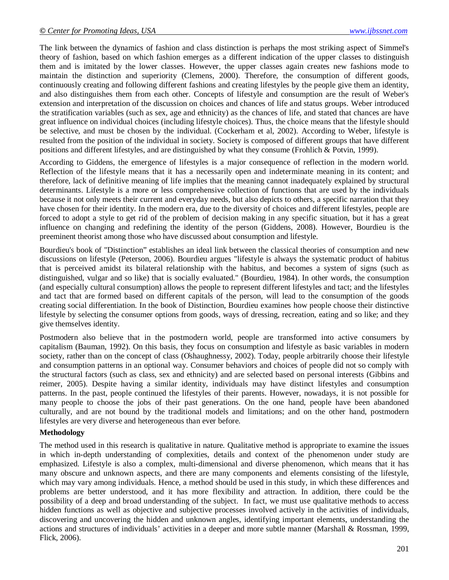The link between the dynamics of fashion and class distinction is perhaps the most striking aspect of Simmel's theory of fashion, based on which fashion emerges as a different indication of the upper classes to distinguish them and is imitated by the lower classes. However, the upper classes again creates new fashions mode to maintain the distinction and superiority (Clemens, 2000). Therefore, the consumption of different goods, continuously creating and following different fashions and creating lifestyles by the people give them an identity, and also distinguishes them from each other. Concepts of lifestyle and consumption are the result of Weber's extension and interpretation of the discussion on choices and chances of life and status groups. Weber introduced the stratification variables (such as sex, age and ethnicity) as the chances of life, and stated that chances are have great influence on individual choices (including lifestyle choices). Thus, the choice means that the lifestyle should be selective, and must be chosen by the individual. (Cockerham et al, 2002). According to Weber, lifestyle is resulted from the position of the individual in society. Society is composed of different groups that have different positions and different lifestyles, and are distinguished by what they consume (Frohlich & Potvin, 1999).

According to Giddens, the emergence of lifestyles is a major consequence of reflection in the modern world. Reflection of the lifestyle means that it has a necessarily open and indeterminate meaning in its content; and therefore, lack of definitive meaning of life implies that the meaning cannot inadequately explained by structural determinants. Lifestyle is a more or less comprehensive collection of functions that are used by the individuals because it not only meets their current and everyday needs, but also depicts to others, a specific narration that they have chosen for their identity. In the modern era, due to the diversity of choices and different lifestyles, people are forced to adopt a style to get rid of the problem of decision making in any specific situation, but it has a great influence on changing and redefining the identity of the person (Giddens, 2008). However, Bourdieu is the preeminent theorist among those who have discussed about consumption and lifestyle.

Bourdieu's book of "Distinction" establishes an ideal link between the classical theories of consumption and new discussions on lifestyle (Peterson, 2006). Bourdieu argues "lifestyle is always the systematic product of habitus that is perceived amidst its bilateral relationship with the habitus, and becomes a system of signs (such as distinguished, vulgar and so like) that is socially evaluated." (Bourdieu, 1984). In other words, the consumption (and especially cultural consumption) allows the people to represent different lifestyles and tact; and the lifestyles and tact that are formed based on different capitals of the person, will lead to the consumption of the goods creating social differentiation. In the book of Distinction, Bourdieu examines how people choose their distinctive lifestyle by selecting the consumer options from goods, ways of dressing, recreation, eating and so like; and they give themselves identity.

Postmodern also believe that in the postmodern world, people are transformed into active consumers by capitalism (Bauman, 1992). On this basis, they focus on consumption and lifestyle as basic variables in modern society, rather than on the concept of class (Oshaughnessy, 2002). Today, people arbitrarily choose their lifestyle and consumption patterns in an optional way. Consumer behaviors and choices of people did not so comply with the structural factors (such as class, sex and ethnicity) and are selected based on personal interests (Gibbins and reimer, 2005). Despite having a similar identity, individuals may have distinct lifestyles and consumption patterns. In the past, people continued the lifestyles of their parents. However, nowadays, it is not possible for many people to choose the jobs of their past generations. On the one hand, people have been abandoned culturally, and are not bound by the traditional models and limitations; and on the other hand, postmodern lifestyles are very diverse and heterogeneous than ever before.

#### **Methodology**

The method used in this research is qualitative in nature. Qualitative method is appropriate to examine the issues in which in-depth understanding of complexities, details and context of the phenomenon under study are emphasized. Lifestyle is also a complex, multi-dimensional and diverse phenomenon, which means that it has many obscure and unknown aspects, and there are many components and elements consisting of the lifestyle, which may vary among individuals. Hence, a method should be used in this study, in which these differences and problems are better understood, and it has more flexibility and attraction. In addition, there could be the possibility of a deep and broad understanding of the subject. In fact, we must use qualitative methods to access hidden functions as well as objective and subjective processes involved actively in the activities of individuals, discovering and uncovering the hidden and unknown angles, identifying important elements, understanding the actions and structures of individuals' activities in a deeper and more subtle manner (Marshall & Rossman, 1999, Flick, 2006).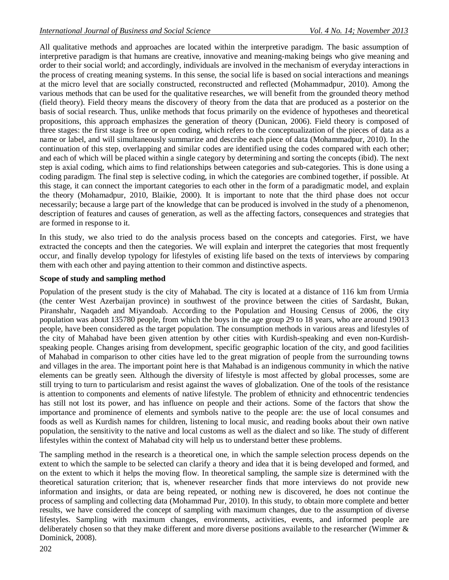All qualitative methods and approaches are located within the interpretive paradigm. The basic assumption of interpretive paradigm is that humans are creative, innovative and meaning-making beings who give meaning and order to their social world; and accordingly, individuals are involved in the mechanism of everyday interactions in the process of creating meaning systems. In this sense, the social life is based on social interactions and meanings at the micro level that are socially constructed, reconstructed and reflected (Mohammadpur, 2010). Among the various methods that can be used for the qualitative researches, we will benefit from the grounded theory method (field theory). Field theory means the discovery of theory from the data that are produced as a posterior on the basis of social research. Thus, unlike methods that focus primarily on the evidence of hypotheses and theoretical propositions, this approach emphasizes the generation of theory (Dunican, 2006). Field theory is composed of three stages: the first stage is free or open coding, which refers to the conceptualization of the pieces of data as a name or label, and will simultaneously summarize and describe each piece of data (Mohammadpur, 2010). In the continuation of this step, overlapping and similar codes are identified using the codes compared with each other; and each of which will be placed within a single category by determining and sorting the concepts (ibid). The next step is axial coding, which aims to find relationships between categories and sub-categories. This is done using a coding paradigm. The final step is selective coding, in which the categories are combined together, if possible. At this stage, it can connect the important categories to each other in the form of a paradigmatic model, and explain the theory (Mohamadpur, 2010, Blaikie, 2000). It is important to note that the third phase does not occur necessarily; because a large part of the knowledge that can be produced is involved in the study of a phenomenon, description of features and causes of generation, as well as the affecting factors, consequences and strategies that are formed in response to it.

In this study, we also tried to do the analysis process based on the concepts and categories. First, we have extracted the concepts and then the categories. We will explain and interpret the categories that most frequently occur, and finally develop typology for lifestyles of existing life based on the texts of interviews by comparing them with each other and paying attention to their common and distinctive aspects.

# **Scope of study and sampling method**

Population of the present study is the city of Mahabad. The city is located at a distance of 116 km from Urmia (the center West Azerbaijan province) in southwest of the province between the cities of Sardasht, Bukan, Piranshahr, Naqadeh and Miyandoab. According to the Population and Housing Census of 2006, the city population was about 135780 people, from which the boys in the age group 29 to 18 years, who are around 19013 people, have been considered as the target population. The consumption methods in various areas and lifestyles of the city of Mahabad have been given attention by other cities with Kurdish-speaking and even non-Kurdishspeaking people. Changes arising from development, specific geographic location of the city, and good facilities of Mahabad in comparison to other cities have led to the great migration of people from the surrounding towns and villages in the area. The important point here is that Mahabad is an indigenous community in which the native elements can be greatly seen. Although the diversity of lifestyle is most affected by global processes, some are still trying to turn to particularism and resist against the waves of globalization. One of the tools of the resistance is attention to components and elements of native lifestyle. The problem of ethnicity and ethnocentric tendencies has still not lost its power, and has influence on people and their actions. Some of the factors that show the importance and prominence of elements and symbols native to the people are: the use of local consumes and foods as well as Kurdish names for children, listening to local music, and reading books about their own native population, the sensitivity to the native and local customs as well as the dialect and so like. The study of different lifestyles within the context of Mahabad city will help us to understand better these problems.

The sampling method in the research is a theoretical one, in which the sample selection process depends on the extent to which the sample to be selected can clarify a theory and idea that it is being developed and formed, and on the extent to which it helps the moving flow. In theoretical sampling, the sample size is determined with the theoretical saturation criterion; that is, whenever researcher finds that more interviews do not provide new information and insights, or data are being repeated, or nothing new is discovered, he does not continue the process of sampling and collecting data (Mohammad Pur, 2010). In this study, to obtain more complete and better results, we have considered the concept of sampling with maximum changes, due to the assumption of diverse lifestyles. Sampling with maximum changes, environments, activities, events, and informed people are deliberately chosen so that they make different and more diverse positions available to the researcher (Wimmer  $\&$ Dominick, 2008).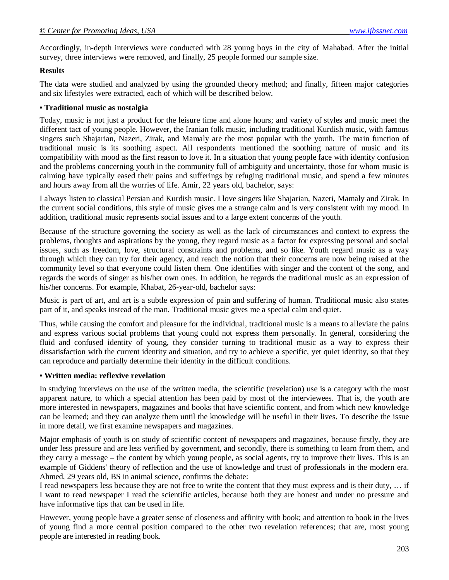Accordingly, in-depth interviews were conducted with 28 young boys in the city of Mahabad. After the initial survey, three interviews were removed, and finally, 25 people formed our sample size.

#### **Results**

The data were studied and analyzed by using the grounded theory method; and finally, fifteen major categories and six lifestyles were extracted, each of which will be described below.

#### **• Traditional music as nostalgia**

Today, music is not just a product for the leisure time and alone hours; and variety of styles and music meet the different tact of young people. However, the Iranian folk music, including traditional Kurdish music, with famous singers such Shajarian, Nazeri, Zirak, and Mamaly are the most popular with the youth. The main function of traditional music is its soothing aspect. All respondents mentioned the soothing nature of music and its compatibility with mood as the first reason to love it. In a situation that young people face with identity confusion and the problems concerning youth in the community full of ambiguity and uncertainty, those for whom music is calming have typically eased their pains and sufferings by refuging traditional music, and spend a few minutes and hours away from all the worries of life. Amir, 22 years old, bachelor, says:

I always listen to classical Persian and Kurdish music. I love singers like Shajarian, Nazeri, Mamaly and Zirak. In the current social conditions, this style of music gives me a strange calm and is very consistent with my mood. In addition, traditional music represents social issues and to a large extent concerns of the youth.

Because of the structure governing the society as well as the lack of circumstances and context to express the problems, thoughts and aspirations by the young, they regard music as a factor for expressing personal and social issues, such as freedom, love, structural constraints and problems, and so like. Youth regard music as a way through which they can try for their agency, and reach the notion that their concerns are now being raised at the community level so that everyone could listen them. One identifies with singer and the content of the song, and regards the words of singer as his/her own ones. In addition, he regards the traditional music as an expression of his/her concerns. For example, Khabat, 26-year-old, bachelor says:

Music is part of art, and art is a subtle expression of pain and suffering of human. Traditional music also states part of it, and speaks instead of the man. Traditional music gives me a special calm and quiet.

Thus, while causing the comfort and pleasure for the individual, traditional music is a means to alleviate the pains and express various social problems that young could not express them personally. In general, considering the fluid and confused identity of young, they consider turning to traditional music as a way to express their dissatisfaction with the current identity and situation, and try to achieve a specific, yet quiet identity, so that they can reproduce and partially determine their identity in the difficult conditions.

# **• Written media: reflexive revelation**

In studying interviews on the use of the written media, the scientific (revelation) use is a category with the most apparent nature, to which a special attention has been paid by most of the interviewees. That is, the youth are more interested in newspapers, magazines and books that have scientific content, and from which new knowledge can be learned; and they can analyze them until the knowledge will be useful in their lives. To describe the issue in more detail, we first examine newspapers and magazines.

Major emphasis of youth is on study of scientific content of newspapers and magazines, because firstly, they are under less pressure and are less verified by government, and secondly, there is something to learn from them, and they carry a message – the content by which young people, as social agents, try to improve their lives. This is an example of Giddens' theory of reflection and the use of knowledge and trust of professionals in the modern era. Ahmed, 29 years old, BS in animal science, confirms the debate:

I read newspapers less because they are not free to write the content that they must express and is their duty, … if I want to read newspaper I read the scientific articles, because both they are honest and under no pressure and have informative tips that can be used in life.

However, young people have a greater sense of closeness and affinity with book; and attention to book in the lives of young find a more central position compared to the other two revelation references; that are, most young people are interested in reading book.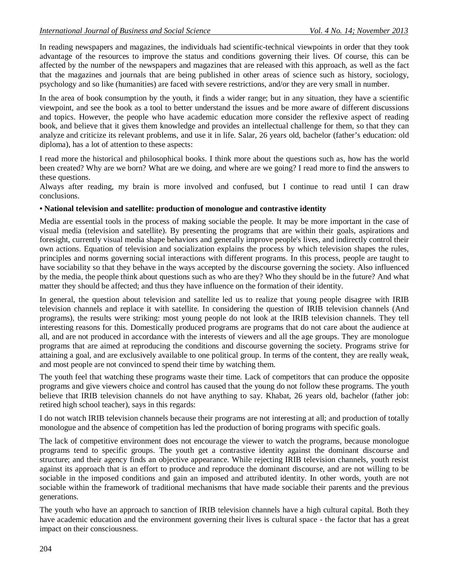In reading newspapers and magazines, the individuals had scientific-technical viewpoints in order that they took advantage of the resources to improve the status and conditions governing their lives. Of course, this can be affected by the number of the newspapers and magazines that are released with this approach, as well as the fact that the magazines and journals that are being published in other areas of science such as history, sociology, psychology and so like (humanities) are faced with severe restrictions, and/or they are very small in number.

In the area of book consumption by the youth, it finds a wider range; but in any situation, they have a scientific viewpoint, and see the book as a tool to better understand the issues and be more aware of different discussions and topics. However, the people who have academic education more consider the reflexive aspect of reading book, and believe that it gives them knowledge and provides an intellectual challenge for them, so that they can analyze and criticize its relevant problems, and use it in life. Salar, 26 years old, bachelor (father's education: old diploma), has a lot of attention to these aspects:

I read more the historical and philosophical books. I think more about the questions such as, how has the world been created? Why are we born? What are we doing, and where are we going? I read more to find the answers to these questions.

Always after reading, my brain is more involved and confused, but I continue to read until I can draw conclusions.

#### **• National television and satellite: production of monologue and contrastive identity**

Media are essential tools in the process of making sociable the people. It may be more important in the case of visual media (television and satellite). By presenting the programs that are within their goals, aspirations and foresight, currently visual media shape behaviors and generally improve people's lives, and indirectly control their own actions. Equation of television and socialization explains the process by which television shapes the rules, principles and norms governing social interactions with different programs. In this process, people are taught to have sociability so that they behave in the ways accepted by the discourse governing the society. Also influenced by the media, the people think about questions such as who are they? Who they should be in the future? And what matter they should be affected; and thus they have influence on the formation of their identity.

In general, the question about television and satellite led us to realize that young people disagree with IRIB television channels and replace it with satellite. In considering the question of IRIB television channels (And programs), the results were striking: most young people do not look at the IRIB television channels. They tell interesting reasons for this. Domestically produced programs are programs that do not care about the audience at all, and are not produced in accordance with the interests of viewers and all the age groups. They are monologue programs that are aimed at reproducing the conditions and discourse governing the society. Programs strive for attaining a goal, and are exclusively available to one political group. In terms of the content, they are really weak, and most people are not convinced to spend their time by watching them.

The youth feel that watching these programs waste their time. Lack of competitors that can produce the opposite programs and give viewers choice and control has caused that the young do not follow these programs. The youth believe that IRIB television channels do not have anything to say. Khabat, 26 years old, bachelor (father job: retired high school teacher), says in this regards:

I do not watch IRIB television channels because their programs are not interesting at all; and production of totally monologue and the absence of competition has led the production of boring programs with specific goals.

The lack of competitive environment does not encourage the viewer to watch the programs, because monologue programs tend to specific groups. The youth get a contrastive identity against the dominant discourse and structure; and their agency finds an objective appearance. While rejecting IRIB television channels, youth resist against its approach that is an effort to produce and reproduce the dominant discourse, and are not willing to be sociable in the imposed conditions and gain an imposed and attributed identity. In other words, youth are not sociable within the framework of traditional mechanisms that have made sociable their parents and the previous generations.

The youth who have an approach to sanction of IRIB television channels have a high cultural capital. Both they have academic education and the environment governing their lives is cultural space - the factor that has a great impact on their consciousness.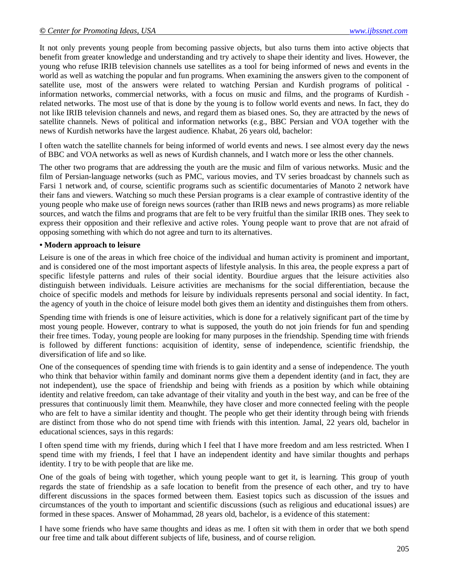It not only prevents young people from becoming passive objects, but also turns them into active objects that benefit from greater knowledge and understanding and try actively to shape their identity and lives. However, the young who refuse IRIB television channels use satellites as a tool for being informed of news and events in the world as well as watching the popular and fun programs. When examining the answers given to the component of satellite use, most of the answers were related to watching Persian and Kurdish programs of political information networks, commercial networks, with a focus on music and films, and the programs of Kurdish related networks. The most use of that is done by the young is to follow world events and news. In fact, they do not like IRIB television channels and news, and regard them as biased ones. So, they are attracted by the news of satellite channels. News of political and information networks (e.g., BBC Persian and VOA together with the news of Kurdish networks have the largest audience. Khabat, 26 years old, bachelor:

I often watch the satellite channels for being informed of world events and news. I see almost every day the news of BBC and VOA networks as well as news of Kurdish channels, and I watch more or less the other channels.

The other two programs that are addressing the youth are the music and film of various networks. Music and the film of Persian-language networks (such as PMC, various movies, and TV series broadcast by channels such as Farsi 1 network and, of course, scientific programs such as scientific documentaries of Manoto 2 network have their fans and viewers. Watching so much these Persian programs is a clear example of contrastive identity of the young people who make use of foreign news sources (rather than IRIB news and news programs) as more reliable sources, and watch the films and programs that are felt to be very fruitful than the similar IRIB ones. They seek to express their opposition and their reflexive and active roles. Young people want to prove that are not afraid of opposing something with which do not agree and turn to its alternatives.

#### **• Modern approach to leisure**

Leisure is one of the areas in which free choice of the individual and human activity is prominent and important, and is considered one of the most important aspects of lifestyle analysis. In this area, the people express a part of specific lifestyle patterns and rules of their social identity. Bourdiue argues that the leisure activities also distinguish between individuals. Leisure activities are mechanisms for the social differentiation, because the choice of specific models and methods for leisure by individuals represents personal and social identity. In fact, the agency of youth in the choice of leisure model both gives them an identity and distinguishes them from others.

Spending time with friends is one of leisure activities, which is done for a relatively significant part of the time by most young people. However, contrary to what is supposed, the youth do not join friends for fun and spending their free times. Today, young people are looking for many purposes in the friendship. Spending time with friends is followed by different functions: acquisition of identity, sense of independence, scientific friendship, the diversification of life and so like.

One of the consequences of spending time with friends is to gain identity and a sense of independence. The youth who think that behavior within family and dominant norms give them a dependent identity (and in fact, they are not independent), use the space of friendship and being with friends as a position by which while obtaining identity and relative freedom, can take advantage of their vitality and youth in the best way, and can be free of the pressures that continuously limit them. Meanwhile, they have closer and more connected feeling with the people who are felt to have a similar identity and thought. The people who get their identity through being with friends are distinct from those who do not spend time with friends with this intention. Jamal, 22 years old, bachelor in educational sciences, says in this regards:

I often spend time with my friends, during which I feel that I have more freedom and am less restricted. When I spend time with my friends, I feel that I have an independent identity and have similar thoughts and perhaps identity. I try to be with people that are like me.

One of the goals of being with together, which young people want to get it, is learning. This group of youth regards the state of friendship as a safe location to benefit from the presence of each other, and try to have different discussions in the spaces formed between them. Easiest topics such as discussion of the issues and circumstances of the youth to important and scientific discussions (such as religious and educational issues) are formed in these spaces. Answer of Mohammad, 28 years old, bachelor, is a evidence of this statement:

I have some friends who have same thoughts and ideas as me. I often sit with them in order that we both spend our free time and talk about different subjects of life, business, and of course religion.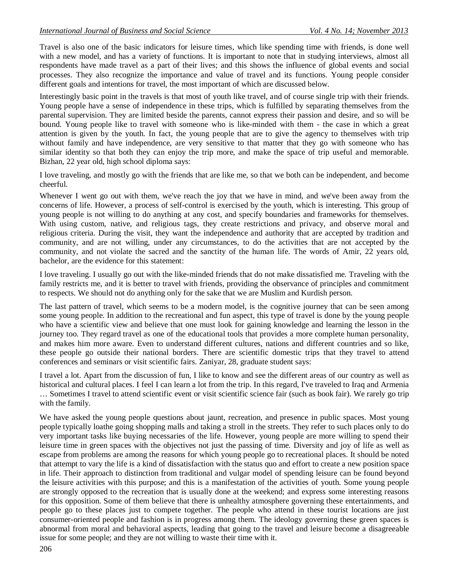Travel is also one of the basic indicators for leisure times, which like spending time with friends, is done well with a new model, and has a variety of functions. It is important to note that in studying interviews, almost all respondents have made travel as a part of their lives; and this shows the influence of global events and social processes. They also recognize the importance and value of travel and its functions. Young people consider different goals and intentions for travel, the most important of which are discussed below.

Interestingly basic point in the travels is that most of youth like travel, and of course single trip with their friends. Young people have a sense of independence in these trips, which is fulfilled by separating themselves from the parental supervision. They are limited beside the parents, cannot express their passion and desire, and so will be bound. Young people like to travel with someone who is like-minded with them - the case in which a great attention is given by the youth. In fact, the young people that are to give the agency to themselves with trip without family and have independence, are very sensitive to that matter that they go with someone who has similar identity so that both they can enjoy the trip more, and make the space of trip useful and memorable. Bizhan, 22 year old, high school diploma says:

I love traveling, and mostly go with the friends that are like me, so that we both can be independent, and become cheerful.

Whenever I went go out with them, we've reach the joy that we have in mind, and we've been away from the concerns of life. However, a process of self-control is exercised by the youth, which is interesting. This group of young people is not willing to do anything at any cost, and specify boundaries and frameworks for themselves. With using custom, native, and religious tags, they create restrictions and privacy, and observe moral and religious criteria. During the visit, they want the independence and authority that are accepted by tradition and community, and are not willing, under any circumstances, to do the activities that are not accepted by the community, and not violate the sacred and the sanctity of the human life. The words of Amir, 22 years old, bachelor, are the evidence for this statement:

I love traveling. I usually go out with the like-minded friends that do not make dissatisfied me. Traveling with the family restricts me, and it is better to travel with friends, providing the observance of principles and commitment to respects. We should not do anything only for the sake that we are Muslim and Kurdish person.

The last pattern of travel, which seems to be a modern model, is the cognitive journey that can be seen among some young people. In addition to the recreational and fun aspect, this type of travel is done by the young people who have a scientific view and believe that one must look for gaining knowledge and learning the lesson in the journey too. They regard travel as one of the educational tools that provides a more complete human personality, and makes him more aware. Even to understand different cultures, nations and different countries and so like, these people go outside their national borders. There are scientific domestic trips that they travel to attend conferences and seminars or visit scientific fairs. Zaniyar, 28, graduate student says:

I travel a lot. Apart from the discussion of fun, I like to know and see the different areas of our country as well as historical and cultural places. I feel I can learn a lot from the trip. In this regard, I've traveled to Iraq and Armenia … Sometimes I travel to attend scientific event or visit scientific science fair (such as book fair). We rarely go trip with the family.

We have asked the young people questions about jaunt, recreation, and presence in public spaces. Most young people typically loathe going shopping malls and taking a stroll in the streets. They refer to such places only to do very important tasks like buying necessaries of the life. However, young people are more willing to spend their leisure time in green spaces with the objectives not just the passing of time. Diversity and joy of life as well as escape from problems are among the reasons for which young people go to recreational places. It should be noted that attempt to vary the life is a kind of dissatisfaction with the status quo and effort to create a new position space in life. Their approach to distinction from traditional and vulgar model of spending leisure can be found beyond the leisure activities with this purpose; and this is a manifestation of the activities of youth. Some young people are strongly opposed to the recreation that is usually done at the weekend; and express some interesting reasons for this opposition. Some of them believe that there is unhealthy atmosphere governing these entertainments, and people go to these places just to compete together. The people who attend in these tourist locations are just consumer-oriented people and fashion is in progress among them. The ideology governing these green spaces is abnormal from moral and behavioral aspects, leading that going to the travel and leisure become a disagreeable issue for some people; and they are not willing to waste their time with it.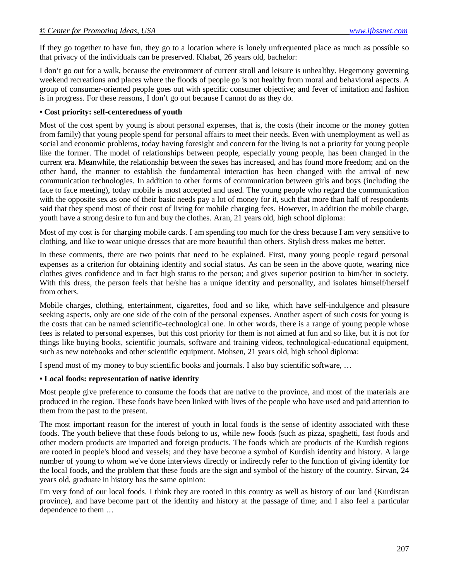If they go together to have fun, they go to a location where is lonely unfrequented place as much as possible so that privacy of the individuals can be preserved. Khabat, 26 years old, bachelor:

I don't go out for a walk, because the environment of current stroll and leisure is unhealthy. Hegemony governing weekend recreations and places where the floods of people go is not healthy from moral and behavioral aspects. A group of consumer-oriented people goes out with specific consumer objective; and fever of imitation and fashion is in progress. For these reasons, I don't go out because I cannot do as they do.

#### **• Cost priority: self-centeredness of youth**

Most of the cost spent by young is about personal expenses, that is, the costs (their income or the money gotten from family) that young people spend for personal affairs to meet their needs. Even with unemployment as well as social and economic problems, today having foresight and concern for the living is not a priority for young people like the former. The model of relationships between people, especially young people, has been changed in the current era. Meanwhile, the relationship between the sexes has increased, and has found more freedom; and on the other hand, the manner to establish the fundamental interaction has been changed with the arrival of new communication technologies. In addition to other forms of communication between girls and boys (including the face to face meeting), today mobile is most accepted and used. The young people who regard the communication with the opposite sex as one of their basic needs pay a lot of money for it, such that more than half of respondents said that they spend most of their cost of living for mobile charging fees. However, in addition the mobile charge, youth have a strong desire to fun and buy the clothes. Aran, 21 years old, high school diploma:

Most of my cost is for charging mobile cards. I am spending too much for the dress because I am very sensitive to clothing, and like to wear unique dresses that are more beautiful than others. Stylish dress makes me better.

In these comments, there are two points that need to be explained. First, many young people regard personal expenses as a criterion for obtaining identity and social status. As can be seen in the above quote, wearing nice clothes gives confidence and in fact high status to the person; and gives superior position to him/her in society. With this dress, the person feels that he/she has a unique identity and personality, and isolates himself/herself from others.

Mobile charges, clothing, entertainment, cigarettes, food and so like, which have self-indulgence and pleasure seeking aspects, only are one side of the coin of the personal expenses. Another aspect of such costs for young is the costs that can be named scientific–technological one. In other words, there is a range of young people whose fees is related to personal expenses, but this cost priority for them is not aimed at fun and so like, but it is not for things like buying books, scientific journals, software and training videos, technological-educational equipment, such as new notebooks and other scientific equipment. Mohsen, 21 years old, high school diploma:

I spend most of my money to buy scientific books and journals. I also buy scientific software, …

#### **• Local foods: representation of native identity**

Most people give preference to consume the foods that are native to the province, and most of the materials are produced in the region. These foods have been linked with lives of the people who have used and paid attention to them from the past to the present.

The most important reason for the interest of youth in local foods is the sense of identity associated with these foods. The youth believe that these foods belong to us, while new foods (such as pizza, spaghetti, fast foods and other modern products are imported and foreign products. The foods which are products of the Kurdish regions are rooted in people's blood and vessels; and they have become a symbol of Kurdish identity and history. A large number of young to whom we've done interviews directly or indirectly refer to the function of giving identity for the local foods, and the problem that these foods are the sign and symbol of the history of the country. Sirvan, 24 years old, graduate in history has the same opinion:

I'm very fond of our local foods. I think they are rooted in this country as well as history of our land (Kurdistan province), and have become part of the identity and history at the passage of time; and I also feel a particular dependence to them …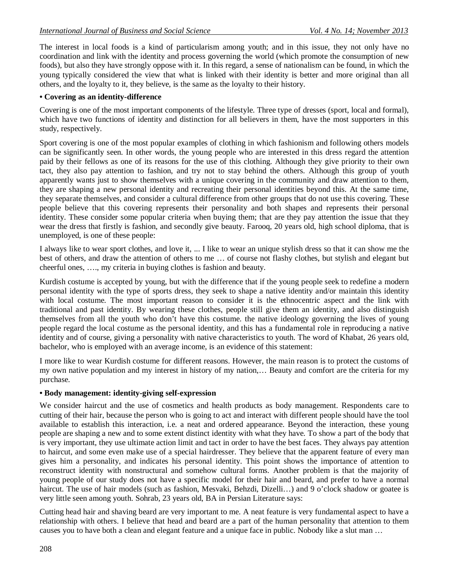The interest in local foods is a kind of particularism among youth; and in this issue, they not only have no coordination and link with the identity and process governing the world (which promote the consumption of new foods), but also they have strongly oppose with it. In this regard, a sense of nationalism can be found, in which the young typically considered the view that what is linked with their identity is better and more original than all others, and the loyalty to it, they believe, is the same as the loyalty to their history.

# **• Covering as an identity-difference**

Covering is one of the most important components of the lifestyle. Three type of dresses (sport, local and formal), which have two functions of identity and distinction for all believers in them, have the most supporters in this study, respectively.

Sport covering is one of the most popular examples of clothing in which fashionism and following others models can be significantly seen. In other words, the young people who are interested in this dress regard the attention paid by their fellows as one of its reasons for the use of this clothing. Although they give priority to their own tact, they also pay attention to fashion, and try not to stay behind the others. Although this group of youth apparently wants just to show themselves with a unique covering in the community and draw attention to them, they are shaping a new personal identity and recreating their personal identities beyond this. At the same time, they separate themselves, and consider a cultural difference from other groups that do not use this covering. These people believe that this covering represents their personality and both shapes and represents their personal identity. These consider some popular criteria when buying them; that are they pay attention the issue that they wear the dress that firstly is fashion, and secondly give beauty. Farooq, 20 years old, high school diploma, that is unemployed, is one of these people:

I always like to wear sport clothes, and love it, ... I like to wear an unique stylish dress so that it can show me the best of others, and draw the attention of others to me … of course not flashy clothes, but stylish and elegant but cheerful ones, …., my criteria in buying clothes is fashion and beauty.

Kurdish costume is accepted by young, but with the difference that if the young people seek to redefine a modern personal identity with the type of sports dress, they seek to shape a native identity and/or maintain this identity with local costume. The most important reason to consider it is the ethnocentric aspect and the link with traditional and past identity. By wearing these clothes, people still give them an identity, and also distinguish themselves from all the youth who don't have this costume. the native ideology governing the lives of young people regard the local costume as the personal identity, and this has a fundamental role in reproducing a native identity and of course, giving a personality with native characteristics to youth. The word of Khabat, 26 years old, bachelor, who is employed with an average income, is an evidence of this statement:

I more like to wear Kurdish costume for different reasons. However, the main reason is to protect the customs of my own native population and my interest in history of my nation,… Beauty and comfort are the criteria for my purchase.

# **• Body management: identity-giving self-expression**

We consider haircut and the use of cosmetics and health products as body management. Respondents care to cutting of their hair, because the person who is going to act and interact with different people should have the tool available to establish this interaction, i.e. a neat and ordered appearance. Beyond the interaction, these young people are shaping a new and to some extent distinct identity with what they have. To show a part of the body that is very important, they use ultimate action limit and tact in order to have the best faces. They always pay attention to haircut, and some even make use of a special hairdresser. They believe that the apparent feature of every man gives him a personality, and indicates his personal identity. This point shows the importance of attention to reconstruct identity with nonstructural and somehow cultural forms. Another problem is that the majority of young people of our study does not have a specific model for their hair and beard, and prefer to have a normal haircut. The use of hair models (such as fashion, Mesvaki, Behzdi, Dizelli...) and 9 o'clock shadow or goatee is very little seen among youth. Sohrab, 23 years old, BA in Persian Literature says:

Cutting head hair and shaving beard are very important to me. A neat feature is very fundamental aspect to have a relationship with others. I believe that head and beard are a part of the human personality that attention to them causes you to have both a clean and elegant feature and a unique face in public. Nobody like a slut man …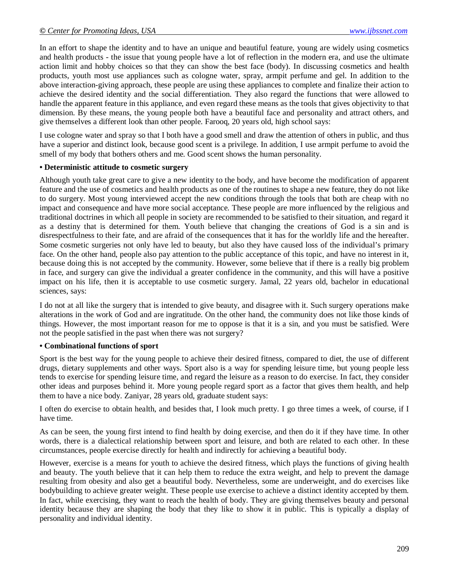In an effort to shape the identity and to have an unique and beautiful feature, young are widely using cosmetics and health products - the issue that young people have a lot of reflection in the modern era, and use the ultimate action limit and hobby choices so that they can show the best face (body). In discussing cosmetics and health products, youth most use appliances such as cologne water, spray, armpit perfume and gel. In addition to the above interaction-giving approach, these people are using these appliances to complete and finalize their action to achieve the desired identity and the social differentiation. They also regard the functions that were allowed to handle the apparent feature in this appliance, and even regard these means as the tools that gives objectivity to that dimension. By these means, the young people both have a beautiful face and personality and attract others, and give themselves a different look than other people. Farooq, 20 years old, high school says:

I use cologne water and spray so that I both have a good smell and draw the attention of others in public, and thus have a superior and distinct look, because good scent is a privilege. In addition, I use armpit perfume to avoid the smell of my body that bothers others and me. Good scent shows the human personality.

#### **• Deterministic attitude to cosmetic surgery**

Although youth take great care to give a new identity to the body, and have become the modification of apparent feature and the use of cosmetics and health products as one of the routines to shape a new feature, they do not like to do surgery. Most young interviewed accept the new conditions through the tools that both are cheap with no impact and consequence and have more social acceptance. These people are more influenced by the religious and traditional doctrines in which all people in society are recommended to be satisfied to their situation, and regard it as a destiny that is determined for them. Youth believe that changing the creations of God is a sin and is disrespectfulness to their fate, and are afraid of the consequences that it has for the worldly life and the hereafter. Some cosmetic surgeries not only have led to beauty, but also they have caused loss of the individual's primary face. On the other hand, people also pay attention to the public acceptance of this topic, and have no interest in it, because doing this is not accepted by the community. However, some believe that if there is a really big problem in face, and surgery can give the individual a greater confidence in the community, and this will have a positive impact on his life, then it is acceptable to use cosmetic surgery. Jamal, 22 years old, bachelor in educational sciences, says:

I do not at all like the surgery that is intended to give beauty, and disagree with it. Such surgery operations make alterations in the work of God and are ingratitude. On the other hand, the community does not like those kinds of things. However, the most important reason for me to oppose is that it is a sin, and you must be satisfied. Were not the people satisfied in the past when there was not surgery?

#### **• Combinational functions of sport**

Sport is the best way for the young people to achieve their desired fitness, compared to diet, the use of different drugs, dietary supplements and other ways. Sport also is a way for spending leisure time, but young people less tends to exercise for spending leisure time, and regard the leisure as a reason to do exercise. In fact, they consider other ideas and purposes behind it. More young people regard sport as a factor that gives them health, and help them to have a nice body. Zaniyar, 28 years old, graduate student says:

I often do exercise to obtain health, and besides that, I look much pretty. I go three times a week, of course, if I have time.

As can be seen, the young first intend to find health by doing exercise, and then do it if they have time. In other words, there is a dialectical relationship between sport and leisure, and both are related to each other. In these circumstances, people exercise directly for health and indirectly for achieving a beautiful body.

However, exercise is a means for youth to achieve the desired fitness, which plays the functions of giving health and beauty. The youth believe that it can help them to reduce the extra weight, and help to prevent the damage resulting from obesity and also get a beautiful body. Nevertheless, some are underweight, and do exercises like bodybuilding to achieve greater weight. These people use exercise to achieve a distinct identity accepted by them. In fact, while exercising, they want to reach the health of body. They are giving themselves beauty and personal identity because they are shaping the body that they like to show it in public. This is typically a display of personality and individual identity.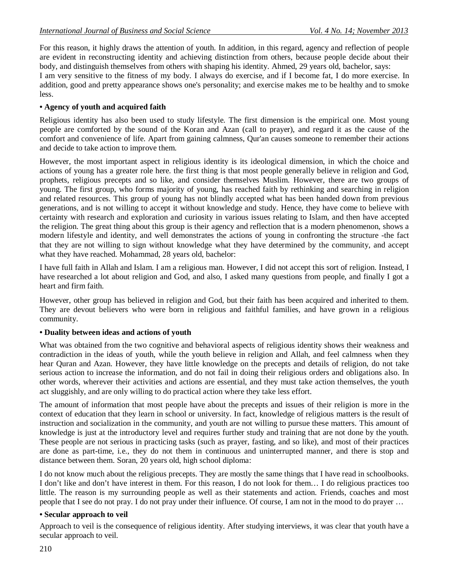For this reason, it highly draws the attention of youth. In addition, in this regard, agency and reflection of people are evident in reconstructing identity and achieving distinction from others, because people decide about their body, and distinguish themselves from others with shaping his identity. Ahmed, 29 years old, bachelor, says:

I am very sensitive to the fitness of my body. I always do exercise, and if I become fat, I do more exercise. In addition, good and pretty appearance shows one's personality; and exercise makes me to be healthy and to smoke less.

# **• Agency of youth and acquired faith**

Religious identity has also been used to study lifestyle. The first dimension is the empirical one. Most young people are comforted by the sound of the Koran and Azan (call to prayer), and regard it as the cause of the comfort and convenience of life. Apart from gaining calmness, Qur'an causes someone to remember their actions and decide to take action to improve them.

However, the most important aspect in religious identity is its ideological dimension, in which the choice and actions of young has a greater role here. the first thing is that most people generally believe in religion and God, prophets, religious precepts and so like, and consider themselves Muslim. However, there are two groups of young. The first group, who forms majority of young, has reached faith by rethinking and searching in religion and related resources. This group of young has not blindly accepted what has been handed down from previous generations, and is not willing to accept it without knowledge and study. Hence, they have come to believe with certainty with research and exploration and curiosity in various issues relating to Islam, and then have accepted the religion. The great thing about this group is their agency and reflection that is a modern phenomenon, shows a modern lifestyle and identity, and well demonstrates the actions of young in confronting the structure -the fact that they are not willing to sign without knowledge what they have determined by the community, and accept what they have reached. Mohammad, 28 years old, bachelor:

I have full faith in Allah and Islam. I am a religious man. However, I did not accept this sort of religion. Instead, I have researched a lot about religion and God, and also, I asked many questions from people, and finally I got a heart and firm faith.

However, other group has believed in religion and God, but their faith has been acquired and inherited to them. They are devout believers who were born in religious and faithful families, and have grown in a religious community.

# **• Duality between ideas and actions of youth**

What was obtained from the two cognitive and behavioral aspects of religious identity shows their weakness and contradiction in the ideas of youth, while the youth believe in religion and Allah, and feel calmness when they hear Quran and Azan. However, they have little knowledge on the precepts and details of religion, do not take serious action to increase the information, and do not fail in doing their religious orders and obligations also. In other words, wherever their activities and actions are essential, and they must take action themselves, the youth act sluggishly, and are only willing to do practical action where they take less effort.

The amount of information that most people have about the precepts and issues of their religion is more in the context of education that they learn in school or university. In fact, knowledge of religious matters is the result of instruction and socialization in the community, and youth are not willing to pursue these matters. This amount of knowledge is just at the introductory level and requires further study and training that are not done by the youth. These people are not serious in practicing tasks (such as prayer, fasting, and so like), and most of their practices are done as part-time, i.e., they do not them in continuous and uninterrupted manner, and there is stop and distance between them. Soran, 20 years old, high school diploma:

I do not know much about the religious precepts. They are mostly the same things that I have read in schoolbooks. I don't like and don't have interest in them. For this reason, I do not look for them… I do religious practices too little. The reason is my surrounding people as well as their statements and action. Friends, coaches and most people that I see do not pray. I do not pray under their influence. Of course, I am not in the mood to do prayer …

# **• Secular approach to veil**

Approach to veil is the consequence of religious identity. After studying interviews, it was clear that youth have a secular approach to veil.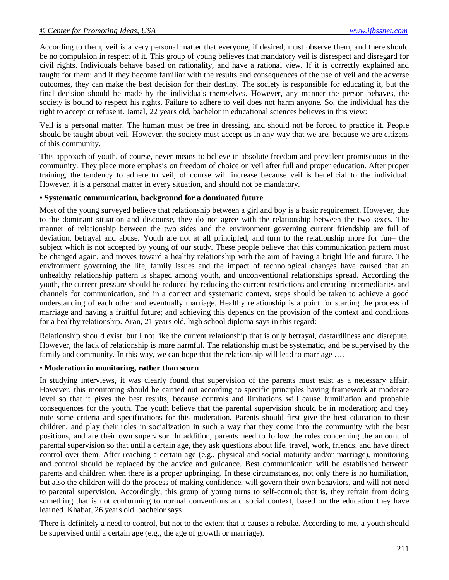According to them, veil is a very personal matter that everyone, if desired, must observe them, and there should be no compulsion in respect of it. This group of young believes that mandatory veil is disrespect and disregard for civil rights. Individuals behave based on rationality, and have a rational view. If it is correctly explained and taught for them; and if they become familiar with the results and consequences of the use of veil and the adverse outcomes, they can make the best decision for their destiny. The society is responsible for educating it, but the final decision should be made by the individuals themselves. However, any manner the person behaves, the society is bound to respect his rights. Failure to adhere to veil does not harm anyone. So, the individual has the right to accept or refuse it. Jamal, 22 years old, bachelor in educational sciences believes in this view:

Veil is a personal matter. The human must be free in dressing, and should not be forced to practice it. People should be taught about veil. However, the society must accept us in any way that we are, because we are citizens of this community.

This approach of youth, of course, never means to believe in absolute freedom and prevalent promiscuous in the community. They place more emphasis on freedom of choice on veil after full and proper education. After proper training, the tendency to adhere to veil, of course will increase because veil is beneficial to the individual. However, it is a personal matter in every situation, and should not be mandatory.

#### **• Systematic communication, background for a dominated future**

Most of the young surveyed believe that relationship between a girl and boy is a basic requirement. However, due to the dominant situation and discourse, they do not agree with the relationship between the two sexes. The manner of relationship between the two sides and the environment governing current friendship are full of deviation, betrayal and abuse. Youth are not at all principled, and turn to the relationship more for fun– the subject which is not accepted by young of our study. These people believe that this communication pattern must be changed again, and moves toward a healthy relationship with the aim of having a bright life and future. The environment governing the life, family issues and the impact of technological changes have caused that an unhealthy relationship pattern is shaped among youth, and unconventional relationships spread. According the youth, the current pressure should be reduced by reducing the current restrictions and creating intermediaries and channels for communication, and in a correct and systematic context, steps should be taken to achieve a good understanding of each other and eventually marriage. Healthy relationship is a point for starting the process of marriage and having a fruitful future; and achieving this depends on the provision of the context and conditions for a healthy relationship. Aran, 21 years old, high school diploma says in this regard:

Relationship should exist, but I not like the current relationship that is only betrayal, dastardliness and disrepute. However, the lack of relationship is more harmful. The relationship must be systematic, and be supervised by the family and community. In this way, we can hope that the relationship will lead to marriage ....

#### **• Moderation in monitoring, rather than scorn**

In studying interviews, it was clearly found that supervision of the parents must exist as a necessary affair. However, this monitoring should be carried out according to specific principles having framework at moderate level so that it gives the best results, because controls and limitations will cause humiliation and probable consequences for the youth. The youth believe that the parental supervision should be in moderation; and they note some criteria and specifications for this moderation. Parents should first give the best education to their children, and play their roles in socialization in such a way that they come into the community with the best positions, and are their own supervisor. In addition, parents need to follow the rules concerning the amount of parental supervision so that until a certain age, they ask questions about life, travel, work, friends, and have direct control over them. After reaching a certain age (e.g., physical and social maturity and/or marriage), monitoring and control should be replaced by the advice and guidance. Best communication will be established between parents and children when there is a proper upbringing. In these circumstances, not only there is no humiliation, but also the children will do the process of making confidence, will govern their own behaviors, and will not need to parental supervision. Accordingly, this group of young turns to self-control; that is, they refrain from doing something that is not conforming to normal conventions and social context, based on the education they have learned. Khabat, 26 years old, bachelor says

There is definitely a need to control, but not to the extent that it causes a rebuke. According to me, a youth should be supervised until a certain age (e.g., the age of growth or marriage).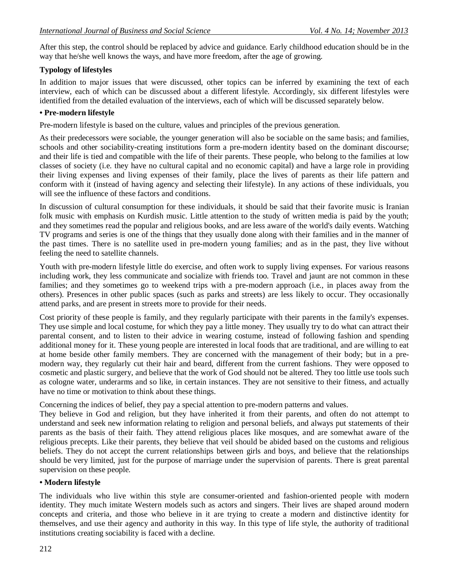After this step, the control should be replaced by advice and guidance. Early childhood education should be in the way that he/she well knows the ways, and have more freedom, after the age of growing.

# **Typology of lifestyles**

In addition to major issues that were discussed, other topics can be inferred by examining the text of each interview, each of which can be discussed about a different lifestyle. Accordingly, six different lifestyles were identified from the detailed evaluation of the interviews, each of which will be discussed separately below.

# **• Pre-modern lifestyle**

Pre-modern lifestyle is based on the culture, values and principles of the previous generation.

As their predecessors were sociable, the younger generation will also be sociable on the same basis; and families, schools and other sociability-creating institutions form a pre-modern identity based on the dominant discourse; and their life is tied and compatible with the life of their parents. These people, who belong to the families at low classes of society (i.e. they have no cultural capital and no economic capital) and have a large role in providing their living expenses and living expenses of their family, place the lives of parents as their life pattern and conform with it (instead of having agency and selecting their lifestyle). In any actions of these individuals, you will see the influence of these factors and conditions.

In discussion of cultural consumption for these individuals, it should be said that their favorite music is Iranian folk music with emphasis on Kurdish music. Little attention to the study of written media is paid by the youth; and they sometimes read the popular and religious books, and are less aware of the world's daily events. Watching TV programs and series is one of the things that they usually done along with their families and in the manner of the past times. There is no satellite used in pre-modern young families; and as in the past, they live without feeling the need to satellite channels.

Youth with pre-modern lifestyle little do exercise, and often work to supply living expenses. For various reasons including work, they less communicate and socialize with friends too. Travel and jaunt are not common in these families; and they sometimes go to weekend trips with a pre-modern approach (i.e., in places away from the others). Presences in other public spaces (such as parks and streets) are less likely to occur. They occasionally attend parks, and are present in streets more to provide for their needs.

Cost priority of these people is family, and they regularly participate with their parents in the family's expenses. They use simple and local costume, for which they pay a little money. They usually try to do what can attract their parental consent, and to listen to their advice in wearing costume, instead of following fashion and spending additional money for it. These young people are interested in local foods that are traditional, and are willing to eat at home beside other family members. They are concerned with the management of their body; but in a premodern way, they regularly cut their hair and beard, different from the current fashions. They were opposed to cosmetic and plastic surgery, and believe that the work of God should not be altered. They too little use tools such as cologne water, underarms and so like, in certain instances. They are not sensitive to their fitness, and actually have no time or motivation to think about these things.

Concerning the indices of belief, they pay a special attention to pre-modern patterns and values.

They believe in God and religion, but they have inherited it from their parents, and often do not attempt to understand and seek new information relating to religion and personal beliefs, and always put statements of their parents as the basis of their faith. They attend religious places like mosques, and are somewhat aware of the religious precepts. Like their parents, they believe that veil should be abided based on the customs and religious beliefs. They do not accept the current relationships between girls and boys, and believe that the relationships should be very limited, just for the purpose of marriage under the supervision of parents. There is great parental supervision on these people.

# **• Modern lifestyle**

The individuals who live within this style are consumer-oriented and fashion-oriented people with modern identity. They much imitate Western models such as actors and singers. Their lives are shaped around modern concepts and criteria, and those who believe in it are trying to create a modern and distinctive identity for themselves, and use their agency and authority in this way. In this type of life style, the authority of traditional institutions creating sociability is faced with a decline.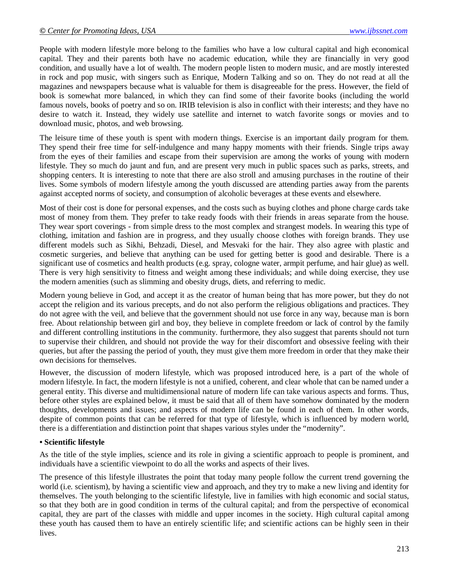People with modern lifestyle more belong to the families who have a low cultural capital and high economical capital. They and their parents both have no academic education, while they are financially in very good condition, and usually have a lot of wealth. The modern people listen to modern music, and are mostly interested in rock and pop music, with singers such as Enrique, Modern Talking and so on. They do not read at all the magazines and newspapers because what is valuable for them is disagreeable for the press. However, the field of book is somewhat more balanced, in which they can find some of their favorite books (including the world famous novels, books of poetry and so on. IRIB television is also in conflict with their interests; and they have no desire to watch it. Instead, they widely use satellite and internet to watch favorite songs or movies and to download music, photos, and web browsing.

The leisure time of these youth is spent with modern things. Exercise is an important daily program for them. They spend their free time for self-indulgence and many happy moments with their friends. Single trips away from the eyes of their families and escape from their supervision are among the works of young with modern lifestyle. They so much do jaunt and fun, and are present very much in public spaces such as parks, streets, and shopping centers. It is interesting to note that there are also stroll and amusing purchases in the routine of their lives. Some symbols of modern lifestyle among the youth discussed are attending parties away from the parents against accepted norms of society, and consumption of alcoholic beverages at these events and elsewhere.

Most of their cost is done for personal expenses, and the costs such as buying clothes and phone charge cards take most of money from them. They prefer to take ready foods with their friends in areas separate from the house. They wear sport coverings - from simple dress to the most complex and strangest models. In wearing this type of clothing, imitation and fashion are in progress, and they usually choose clothes with foreign brands. They use different models such as Sikhi, Behzadi, Diesel, and Mesvaki for the hair. They also agree with plastic and cosmetic surgeries, and believe that anything can be used for getting better is good and desirable. There is a significant use of cosmetics and health products (e.g. spray, cologne water, armpit perfume, and hair glue) as well. There is very high sensitivity to fitness and weight among these individuals; and while doing exercise, they use the modern amenities (such as slimming and obesity drugs, diets, and referring to medic.

Modern young believe in God, and accept it as the creator of human being that has more power, but they do not accept the religion and its various precepts, and do not also perform the religious obligations and practices. They do not agree with the veil, and believe that the government should not use force in any way, because man is born free. About relationship between girl and boy, they believe in complete freedom or lack of control by the family and different controlling institutions in the community. furthermore, they also suggest that parents should not turn to supervise their children, and should not provide the way for their discomfort and obsessive feeling with their queries, but after the passing the period of youth, they must give them more freedom in order that they make their own decisions for themselves.

However, the discussion of modern lifestyle, which was proposed introduced here, is a part of the whole of modern lifestyle. In fact, the modern lifestyle is not a unified, coherent, and clear whole that can be named under a general entity. This diverse and multidimensional nature of modern life can take various aspects and forms. Thus, before other styles are explained below, it must be said that all of them have somehow dominated by the modern thoughts, developments and issues; and aspects of modern life can be found in each of them. In other words, despite of common points that can be referred for that type of lifestyle, which is influenced by modern world, there is a differentiation and distinction point that shapes various styles under the "modernity".

#### **• Scientific lifestyle**

As the title of the style implies, science and its role in giving a scientific approach to people is prominent, and individuals have a scientific viewpoint to do all the works and aspects of their lives.

The presence of this lifestyle illustrates the point that today many people follow the current trend governing the world (i.e. scientism), by having a scientific view and approach, and they try to make a new living and identity for themselves. The youth belonging to the scientific lifestyle, live in families with high economic and social status, so that they both are in good condition in terms of the cultural capital; and from the perspective of economical capital, they are part of the classes with middle and upper incomes in the society. High cultural capital among these youth has caused them to have an entirely scientific life; and scientific actions can be highly seen in their lives.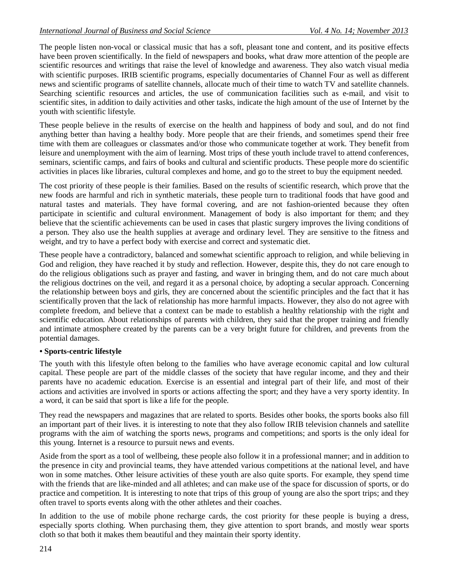The people listen non-vocal or classical music that has a soft, pleasant tone and content, and its positive effects have been proven scientifically. In the field of newspapers and books, what draw more attention of the people are scientific resources and writings that raise the level of knowledge and awareness. They also watch visual media with scientific purposes. IRIB scientific programs, especially documentaries of Channel Four as well as different news and scientific programs of satellite channels, allocate much of their time to watch TV and satellite channels. Searching scientific resources and articles, the use of communication facilities such as e-mail, and visit to scientific sites, in addition to daily activities and other tasks, indicate the high amount of the use of Internet by the youth with scientific lifestyle.

These people believe in the results of exercise on the health and happiness of body and soul, and do not find anything better than having a healthy body. More people that are their friends, and sometimes spend their free time with them are colleagues or classmates and/or those who communicate together at work. They benefit from leisure and unemployment with the aim of learning. Most trips of these youth include travel to attend conferences, seminars, scientific camps, and fairs of books and cultural and scientific products. These people more do scientific activities in places like libraries, cultural complexes and home, and go to the street to buy the equipment needed.

The cost priority of these people is their families. Based on the results of scientific research, which prove that the new foods are harmful and rich in synthetic materials, these people turn to traditional foods that have good and natural tastes and materials. They have formal covering, and are not fashion-oriented because they often participate in scientific and cultural environment. Management of body is also important for them; and they believe that the scientific achievements can be used in cases that plastic surgery improves the living conditions of a person. They also use the health supplies at average and ordinary level. They are sensitive to the fitness and weight, and try to have a perfect body with exercise and correct and systematic diet.

These people have a contradictory, balanced and somewhat scientific approach to religion, and while believing in God and religion, they have reached it by study and reflection. However, despite this, they do not care enough to do the religious obligations such as prayer and fasting, and waver in bringing them, and do not care much about the religious doctrines on the veil, and regard it as a personal choice, by adopting a secular approach. Concerning the relationship between boys and girls, they are concerned about the scientific principles and the fact that it has scientifically proven that the lack of relationship has more harmful impacts. However, they also do not agree with complete freedom, and believe that a context can be made to establish a healthy relationship with the right and scientific education. About relationships of parents with children, they said that the proper training and friendly and intimate atmosphere created by the parents can be a very bright future for children, and prevents from the potential damages.

# **• Sports-centric lifestyle**

The youth with this lifestyle often belong to the families who have average economic capital and low cultural capital. These people are part of the middle classes of the society that have regular income, and they and their parents have no academic education. Exercise is an essential and integral part of their life, and most of their actions and activities are involved in sports or actions affecting the sport; and they have a very sporty identity. In a word, it can be said that sport is like a life for the people.

They read the newspapers and magazines that are related to sports. Besides other books, the sports books also fill an important part of their lives. it is interesting to note that they also follow IRIB television channels and satellite programs with the aim of watching the sports news, programs and competitions; and sports is the only ideal for this young. Internet is a resource to pursuit news and events.

Aside from the sport as a tool of wellbeing, these people also follow it in a professional manner; and in addition to the presence in city and provincial teams, they have attended various competitions at the national level, and have won in some matches. Other leisure activities of these youth are also quite sports. For example, they spend time with the friends that are like-minded and all athletes; and can make use of the space for discussion of sports, or do practice and competition. It is interesting to note that trips of this group of young are also the sport trips; and they often travel to sports events along with the other athletes and their coaches.

In addition to the use of mobile phone recharge cards, the cost priority for these people is buying a dress, especially sports clothing. When purchasing them, they give attention to sport brands, and mostly wear sports cloth so that both it makes them beautiful and they maintain their sporty identity.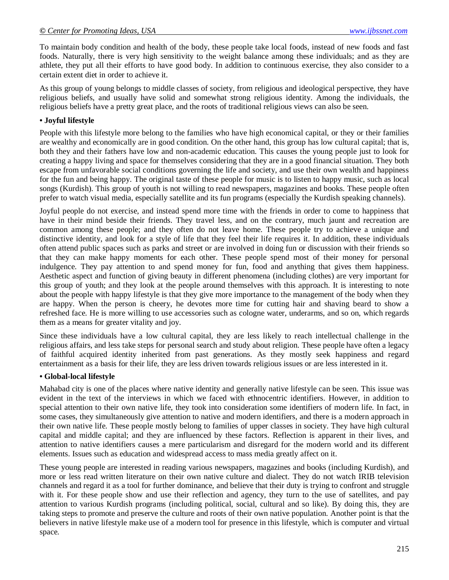To maintain body condition and health of the body, these people take local foods, instead of new foods and fast foods. Naturally, there is very high sensitivity to the weight balance among these individuals; and as they are athlete, they put all their efforts to have good body. In addition to continuous exercise, they also consider to a certain extent diet in order to achieve it.

As this group of young belongs to middle classes of society, from religious and ideological perspective, they have religious beliefs, and usually have solid and somewhat strong religious identity. Among the individuals, the religious beliefs have a pretty great place, and the roots of traditional religious views can also be seen.

#### **• Joyful lifestyle**

People with this lifestyle more belong to the families who have high economical capital, or they or their families are wealthy and economically are in good condition. On the other hand, this group has low cultural capital; that is, both they and their fathers have low and non-academic education. This causes the young people just to look for creating a happy living and space for themselves considering that they are in a good financial situation. They both escape from unfavorable social conditions governing the life and society, and use their own wealth and happiness for the fun and being happy. The original taste of these people for music is to listen to happy music, such as local songs (Kurdish). This group of youth is not willing to read newspapers, magazines and books. These people often prefer to watch visual media, especially satellite and its fun programs (especially the Kurdish speaking channels).

Joyful people do not exercise, and instead spend more time with the friends in order to come to happiness that have in their mind beside their friends. They travel less, and on the contrary, much jaunt and recreation are common among these people; and they often do not leave home. These people try to achieve a unique and distinctive identity, and look for a style of life that they feel their life requires it. In addition, these individuals often attend public spaces such as parks and street or are involved in doing fun or discussion with their friends so that they can make happy moments for each other. These people spend most of their money for personal indulgence. They pay attention to and spend money for fun, food and anything that gives them happiness. Aesthetic aspect and function of giving beauty in different phenomena (including clothes) are very important for this group of youth; and they look at the people around themselves with this approach. It is interesting to note about the people with happy lifestyle is that they give more importance to the management of the body when they are happy. When the person is cheery, he devotes more time for cutting hair and shaving beard to show a refreshed face. He is more willing to use accessories such as cologne water, underarms, and so on, which regards them as a means for greater vitality and joy.

Since these individuals have a low cultural capital, they are less likely to reach intellectual challenge in the religious affairs, and less take steps for personal search and study about religion. These people have often a legacy of faithful acquired identity inherited from past generations. As they mostly seek happiness and regard entertainment as a basis for their life, they are less driven towards religious issues or are less interested in it.

#### **• Global-local lifestyle**

Mahabad city is one of the places where native identity and generally native lifestyle can be seen. This issue was evident in the text of the interviews in which we faced with ethnocentric identifiers. However, in addition to special attention to their own native life, they took into consideration some identifiers of modern life. In fact, in some cases, they simultaneously give attention to native and modern identifiers, and there is a modern approach in their own native life. These people mostly belong to families of upper classes in society. They have high cultural capital and middle capital; and they are influenced by these factors. Reflection is apparent in their lives, and attention to native identifiers causes a mere particularism and disregard for the modern world and its different elements. Issues such as education and widespread access to mass media greatly affect on it.

These young people are interested in reading various newspapers, magazines and books (including Kurdish), and more or less read written literature on their own native culture and dialect. They do not watch IRIB television channels and regard it as a tool for further dominance, and believe that their duty is trying to confront and struggle with it. For these people show and use their reflection and agency, they turn to the use of satellites, and pay attention to various Kurdish programs (including political, social, cultural and so like). By doing this, they are taking steps to promote and preserve the culture and roots of their own native population. Another point is that the believers in native lifestyle make use of a modern tool for presence in this lifestyle, which is computer and virtual space.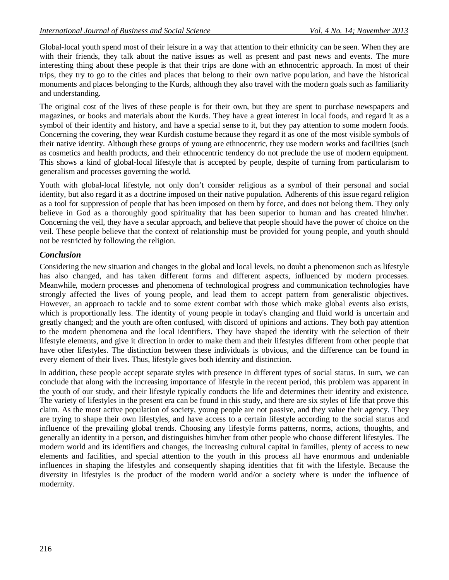Global-local youth spend most of their leisure in a way that attention to their ethnicity can be seen. When they are with their friends, they talk about the native issues as well as present and past news and events. The more interesting thing about these people is that their trips are done with an ethnocentric approach. In most of their trips, they try to go to the cities and places that belong to their own native population, and have the historical monuments and places belonging to the Kurds, although they also travel with the modern goals such as familiarity and understanding.

The original cost of the lives of these people is for their own, but they are spent to purchase newspapers and magazines, or books and materials about the Kurds. They have a great interest in local foods, and regard it as a symbol of their identity and history, and have a special sense to it, but they pay attention to some modern foods. Concerning the covering, they wear Kurdish costume because they regard it as one of the most visible symbols of their native identity. Although these groups of young are ethnocentric, they use modern works and facilities (such as cosmetics and health products, and their ethnocentric tendency do not preclude the use of modern equipment. This shows a kind of global-local lifestyle that is accepted by people, despite of turning from particularism to generalism and processes governing the world.

Youth with global-local lifestyle, not only don't consider religious as a symbol of their personal and social identity, but also regard it as a doctrine imposed on their native population. Adherents of this issue regard religion as a tool for suppression of people that has been imposed on them by force, and does not belong them. They only believe in God as a thoroughly good spirituality that has been superior to human and has created him/her. Concerning the veil, they have a secular approach, and believe that people should have the power of choice on the veil. These people believe that the context of relationship must be provided for young people, and youth should not be restricted by following the religion.

# *Conclusion*

Considering the new situation and changes in the global and local levels, no doubt a phenomenon such as lifestyle has also changed, and has taken different forms and different aspects, influenced by modern processes. Meanwhile, modern processes and phenomena of technological progress and communication technologies have strongly affected the lives of young people, and lead them to accept pattern from generalistic objectives. However, an approach to tackle and to some extent combat with those which make global events also exists, which is proportionally less. The identity of young people in today's changing and fluid world is uncertain and greatly changed; and the youth are often confused, with discord of opinions and actions. They both pay attention to the modern phenomena and the local identifiers. They have shaped the identity with the selection of their lifestyle elements, and give it direction in order to make them and their lifestyles different from other people that have other lifestyles. The distinction between these individuals is obvious, and the difference can be found in every element of their lives. Thus, lifestyle gives both identity and distinction.

In addition, these people accept separate styles with presence in different types of social status. In sum, we can conclude that along with the increasing importance of lifestyle in the recent period, this problem was apparent in the youth of our study, and their lifestyle typically conducts the life and determines their identity and existence. The variety of lifestyles in the present era can be found in this study, and there are six styles of life that prove this claim. As the most active population of society, young people are not passive, and they value their agency. They are trying to shape their own lifestyles, and have access to a certain lifestyle according to the social status and influence of the prevailing global trends. Choosing any lifestyle forms patterns, norms, actions, thoughts, and generally an identity in a person, and distinguishes him/her from other people who choose different lifestyles. The modern world and its identifiers and changes, the increasing cultural capital in families, plenty of access to new elements and facilities, and special attention to the youth in this process all have enormous and undeniable influences in shaping the lifestyles and consequently shaping identities that fit with the lifestyle. Because the diversity in lifestyles is the product of the modern world and/or a society where is under the influence of modernity.